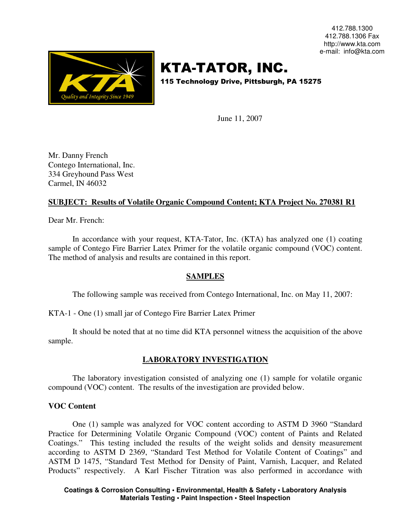412.788.1300 412.788.1306 Fax http://www.kta.com e-mail: info@kta.com



# KTA-TATOR, INC.

115 Technology Drive, Pittsburgh, PA 15275

June 11, 2007

Mr. Danny French Contego International, Inc. 334 Greyhound Pass West Carmel, IN 46032

# **SUBJECT: Results of Volatile Organic Compound Content; KTA Project No. 270381 R1**

Dear Mr. French:

In accordance with your request, KTA-Tator, Inc. (KTA) has analyzed one (1) coating sample of Contego Fire Barrier Latex Primer for the volatile organic compound (VOC) content. The method of analysis and results are contained in this report.

## **SAMPLES**

The following sample was received from Contego International, Inc. on May 11, 2007:

KTA-1 - One (1) small jar of Contego Fire Barrier Latex Primer

It should be noted that at no time did KTA personnel witness the acquisition of the above sample.

# **LABORATORY INVESTIGATION**

The laboratory investigation consisted of analyzing one (1) sample for volatile organic compound (VOC) content. The results of the investigation are provided below.

## **VOC Content**

One (1) sample was analyzed for VOC content according to ASTM D 3960 "Standard Practice for Determining Volatile Organic Compound (VOC) content of Paints and Related Coatings." This testing included the results of the weight solids and density measurement according to ASTM D 2369, "Standard Test Method for Volatile Content of Coatings" and ASTM D 1475, "Standard Test Method for Density of Paint, Varnish, Lacquer, and Related Products" respectively. A Karl Fischer Titration was also performed in accordance with

**Coatings & Corrosion Consulting • Environmental, Health & Safety • Laboratory Analysis Materials Testing • Paint Inspection • Steel Inspection**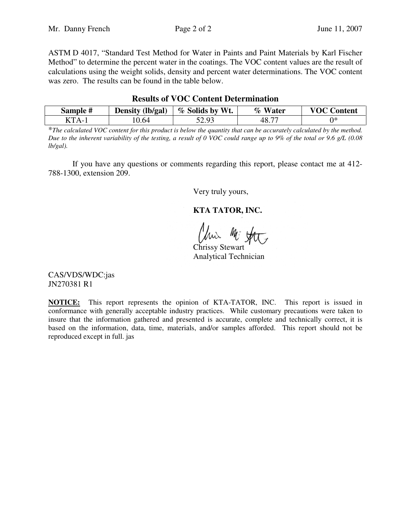ASTM D 4017, "Standard Test Method for Water in Paints and Paint Materials by Karl Fischer Method" to determine the percent water in the coatings. The VOC content values are the result of calculations using the weight solids, density and percent water determinations. The VOC content was zero. The results can be found in the table below.

| Sample #                 | Density (lb/gal) | % Solids by Wt.  | % Water | <b>VOC Content</b> |
|--------------------------|------------------|------------------|---------|--------------------|
| $T_{\rm T}$ T $\Delta$ - | 0.64             | รว ดว<br>ل ر . ب |         | ∩∗                 |

#### **Results of VOC Content Determination**

\**The calculated VOC content for this product is below the quantity that can be accurately calculated by the method. Due to the inherent variability of the testing, a result of 0 VOC could range up to 9% of the total or 9.6 g/L (0.08 lb/gal).* 

If you have any questions or comments regarding this report, please contact me at 412- 788-1300, extension 209.

Very truly yours,

**KTA TATOR, INC.**

Uni Mi fat

Chrissy Stewart Analytical Technician

CAS/VDS/WDC:jas JN270381 R1

**NOTICE:** This report represents the opinion of KTA-TATOR, INC. This report is issued in conformance with generally acceptable industry practices. While customary precautions were taken to insure that the information gathered and presented is accurate, complete and technically correct, it is based on the information, data, time, materials, and/or samples afforded. This report should not be reproduced except in full. jas